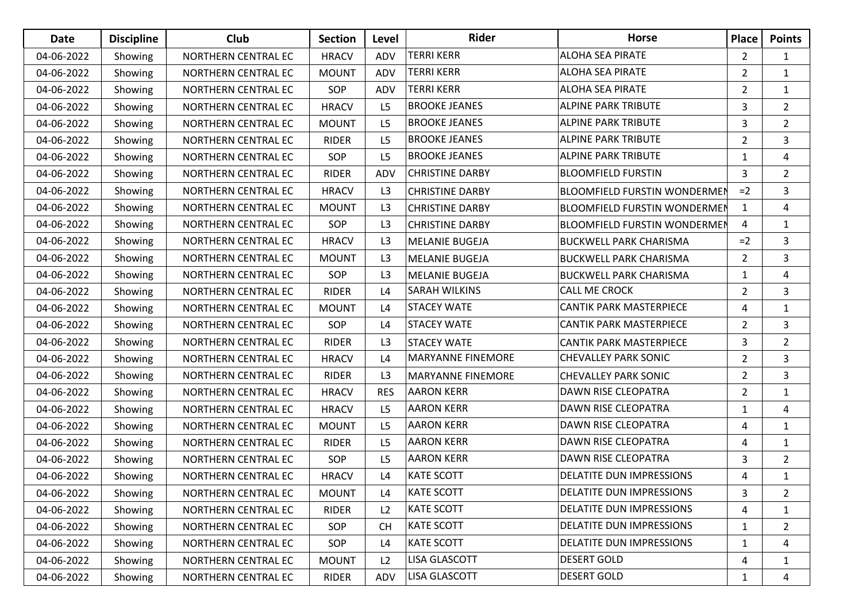| <b>Date</b> | <b>Discipline</b> | <b>Club</b>         | <b>Section</b> | Level          | <b>Rider</b>             | <b>Horse</b>                        | Place          | <b>Points</b>  |
|-------------|-------------------|---------------------|----------------|----------------|--------------------------|-------------------------------------|----------------|----------------|
| 04-06-2022  | Showing           | NORTHERN CENTRAL EC | <b>HRACV</b>   | ADV            | <b>TERRI KERR</b>        | <b>ALOHA SEA PIRATE</b>             | $\overline{2}$ | $\mathbf{1}$   |
| 04-06-2022  | Showing           | NORTHERN CENTRAL EC | <b>MOUNT</b>   | ADV            | <b>TERRI KERR</b>        | <b>ALOHA SEA PIRATE</b>             | $\overline{2}$ | $\mathbf{1}$   |
| 04-06-2022  | Showing           | NORTHERN CENTRAL EC | SOP            | ADV            | <b>TERRI KERR</b>        | <b>ALOHA SEA PIRATE</b>             | $\overline{2}$ | $\mathbf{1}$   |
| 04-06-2022  | Showing           | NORTHERN CENTRAL EC | <b>HRACV</b>   | L <sub>5</sub> | <b>BROOKE JEANES</b>     | <b>ALPINE PARK TRIBUTE</b>          | 3              | $\overline{2}$ |
| 04-06-2022  | Showing           | NORTHERN CENTRAL EC | <b>MOUNT</b>   | L <sub>5</sub> | <b>BROOKE JEANES</b>     | <b>ALPINE PARK TRIBUTE</b>          | 3              | $\overline{2}$ |
| 04-06-2022  | Showing           | NORTHERN CENTRAL EC | <b>RIDER</b>   | L <sub>5</sub> | <b>BROOKE JEANES</b>     | <b>ALPINE PARK TRIBUTE</b>          | $\overline{2}$ | 3              |
| 04-06-2022  | Showing           | NORTHERN CENTRAL EC | SOP            | L <sub>5</sub> | <b>BROOKE JEANES</b>     | <b>ALPINE PARK TRIBUTE</b>          | $\mathbf{1}$   | 4              |
| 04-06-2022  | Showing           | NORTHERN CENTRAL EC | <b>RIDER</b>   | ADV            | <b>CHRISTINE DARBY</b>   | <b>BLOOMFIELD FURSTIN</b>           | 3              | $\overline{2}$ |
| 04-06-2022  | Showing           | NORTHERN CENTRAL EC | <b>HRACV</b>   | L3             | <b>CHRISTINE DARBY</b>   | <b>BLOOMFIELD FURSTIN WONDERMEN</b> | $=2$           | $\mathbf{3}$   |
| 04-06-2022  | Showing           | NORTHERN CENTRAL EC | <b>MOUNT</b>   | L3             | <b>CHRISTINE DARBY</b>   | <b>BLOOMFIELD FURSTIN WONDERMEN</b> | $\mathbf{1}$   | 4              |
| 04-06-2022  | Showing           | NORTHERN CENTRAL EC | SOP            | L3             | <b>CHRISTINE DARBY</b>   | <b>BLOOMFIELD FURSTIN WONDERMEN</b> | 4              | $\mathbf{1}$   |
| 04-06-2022  | Showing           | NORTHERN CENTRAL EC | <b>HRACV</b>   | L3             | <b>MELANIE BUGEJA</b>    | <b>BUCKWELL PARK CHARISMA</b>       | $=2$           | $\mathbf{3}$   |
| 04-06-2022  | Showing           | NORTHERN CENTRAL EC | <b>MOUNT</b>   | L3             | <b>MELANIE BUGEJA</b>    | <b>BUCKWELL PARK CHARISMA</b>       | $\overline{2}$ | 3              |
| 04-06-2022  | Showing           | NORTHERN CENTRAL EC | SOP            | L3             | <b>MELANIE BUGEJA</b>    | <b>BUCKWELL PARK CHARISMA</b>       | $\mathbf{1}$   | 4              |
| 04-06-2022  | Showing           | NORTHERN CENTRAL EC | <b>RIDER</b>   | L4             | <b>SARAH WILKINS</b>     | <b>CALL ME CROCK</b>                | $\overline{2}$ | 3              |
| 04-06-2022  | Showing           | NORTHERN CENTRAL EC | <b>MOUNT</b>   | L4             | <b>STACEY WATE</b>       | <b>CANTIK PARK MASTERPIECE</b>      | 4              | $\mathbf{1}$   |
| 04-06-2022  | Showing           | NORTHERN CENTRAL EC | SOP            | L4             | <b>STACEY WATE</b>       | <b>CANTIK PARK MASTERPIECE</b>      | $\overline{2}$ | 3              |
| 04-06-2022  | Showing           | NORTHERN CENTRAL EC | <b>RIDER</b>   | L3             | <b>STACEY WATE</b>       | <b>CANTIK PARK MASTERPIECE</b>      | 3              | $\overline{2}$ |
| 04-06-2022  | Showing           | NORTHERN CENTRAL EC | <b>HRACV</b>   | L4             | <b>MARYANNE FINEMORE</b> | <b>CHEVALLEY PARK SONIC</b>         | $\overline{2}$ | 3              |
| 04-06-2022  | Showing           | NORTHERN CENTRAL EC | <b>RIDER</b>   | L3             | <b>MARYANNE FINEMORE</b> | <b>CHEVALLEY PARK SONIC</b>         | $\overline{2}$ | $\mathbf{3}$   |
| 04-06-2022  | Showing           | NORTHERN CENTRAL EC | <b>HRACV</b>   | <b>RES</b>     | <b>AARON KERR</b>        | DAWN RISE CLEOPATRA                 | $\overline{2}$ | $\mathbf{1}$   |
| 04-06-2022  | Showing           | NORTHERN CENTRAL EC | <b>HRACV</b>   | L <sub>5</sub> | <b>AARON KERR</b>        | <b>DAWN RISE CLEOPATRA</b>          | $\mathbf{1}$   | 4              |
| 04-06-2022  | Showing           | NORTHERN CENTRAL EC | <b>MOUNT</b>   | L <sub>5</sub> | <b>AARON KERR</b>        | <b>DAWN RISE CLEOPATRA</b>          | 4              | $\mathbf{1}$   |
| 04-06-2022  | Showing           | NORTHERN CENTRAL EC | <b>RIDER</b>   | L5             | <b>AARON KERR</b>        | DAWN RISE CLEOPATRA                 | 4              | $\mathbf{1}$   |
| 04-06-2022  | Showing           | NORTHERN CENTRAL EC | SOP            | L <sub>5</sub> | <b>AARON KERR</b>        | DAWN RISE CLEOPATRA                 | 3              | $\overline{2}$ |
| 04-06-2022  | Showing           | NORTHERN CENTRAL EC | <b>HRACV</b>   | L4             | <b>KATE SCOTT</b>        | <b>DELATITE DUN IMPRESSIONS</b>     | 4              | $\mathbf{1}$   |
| 04-06-2022  | Showing           | NORTHERN CENTRAL EC | <b>MOUNT</b>   | L4             | <b>KATE SCOTT</b>        | <b>DELATITE DUN IMPRESSIONS</b>     | 3              | $\overline{2}$ |
| 04-06-2022  | Showing           | NORTHERN CENTRAL EC | <b>RIDER</b>   | L2             | <b>KATE SCOTT</b>        | <b>DELATITE DUN IMPRESSIONS</b>     | 4              | $\mathbf{1}$   |
| 04-06-2022  | Showing           | NORTHERN CENTRAL EC | SOP            | <b>CH</b>      | <b>KATE SCOTT</b>        | <b>DELATITE DUN IMPRESSIONS</b>     | $\mathbf{1}$   | $\overline{2}$ |
| 04-06-2022  | Showing           | NORTHERN CENTRAL EC | SOP            | L4             | <b>KATE SCOTT</b>        | <b>DELATITE DUN IMPRESSIONS</b>     | $\mathbf{1}$   | 4              |
| 04-06-2022  | Showing           | NORTHERN CENTRAL EC | <b>MOUNT</b>   | L2             | <b>LISA GLASCOTT</b>     | <b>DESERT GOLD</b>                  | 4              | $\mathbf{1}$   |
| 04-06-2022  | Showing           | NORTHERN CENTRAL EC | <b>RIDER</b>   | ADV            | LISA GLASCOTT            | <b>DESERT GOLD</b>                  | $\mathbf{1}$   | 4              |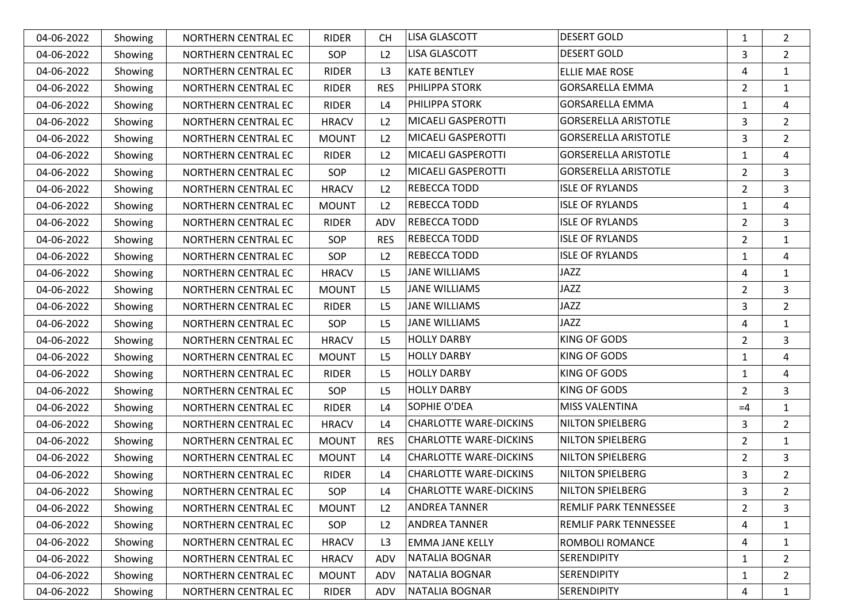| 04-06-2022 | Showing | NORTHERN CENTRAL EC | <b>RIDER</b> | <b>CH</b>      | <b>LISA GLASCOTT</b>          | <b>DESERT GOLD</b>           | $\mathbf{1}$   | $\overline{2}$ |
|------------|---------|---------------------|--------------|----------------|-------------------------------|------------------------------|----------------|----------------|
| 04-06-2022 | Showing | NORTHERN CENTRAL EC | SOP          | L2             | <b>LISA GLASCOTT</b>          | <b>DESERT GOLD</b>           | 3              | $\overline{2}$ |
| 04-06-2022 | Showing | NORTHERN CENTRAL EC | <b>RIDER</b> | L3             | <b>KATE BENTLEY</b>           | ELLIE MAE ROSE               | 4              | $\mathbf{1}$   |
| 04-06-2022 | Showing | NORTHERN CENTRAL EC | <b>RIDER</b> | <b>RES</b>     | PHILIPPA STORK                | <b>GORSARELLA EMMA</b>       | $\overline{2}$ | $\mathbf{1}$   |
| 04-06-2022 | Showing | NORTHERN CENTRAL EC | <b>RIDER</b> | L4             | PHILIPPA STORK                | <b>GORSARELLA EMMA</b>       | $\mathbf{1}$   | 4              |
| 04-06-2022 | Showing | NORTHERN CENTRAL EC | <b>HRACV</b> | L2             | MICAELI GASPEROTTI            | <b>GORSERELLA ARISTOTLE</b>  | 3              | $\overline{2}$ |
| 04-06-2022 | Showing | NORTHERN CENTRAL EC | <b>MOUNT</b> | L2             | MICAELI GASPEROTTI            | <b>GORSERELLA ARISTOTLE</b>  | 3              | $\overline{2}$ |
| 04-06-2022 | Showing | NORTHERN CENTRAL EC | <b>RIDER</b> | L2             | MICAELI GASPEROTTI            | <b>GORSERELLA ARISTOTLE</b>  | $\mathbf{1}$   | $\overline{4}$ |
| 04-06-2022 | Showing | NORTHERN CENTRAL EC | SOP          | L2             | MICAELI GASPEROTTI            | <b>GORSERELLA ARISTOTLE</b>  | $\overline{2}$ | $\mathbf{3}$   |
| 04-06-2022 | Showing | NORTHERN CENTRAL EC | <b>HRACV</b> | L2             | REBECCA TODD                  | <b>ISLE OF RYLANDS</b>       | $\overline{2}$ | 3              |
| 04-06-2022 | Showing | NORTHERN CENTRAL EC | <b>MOUNT</b> | L2             | REBECCA TODD                  | <b>ISLE OF RYLANDS</b>       | $\mathbf{1}$   | 4              |
| 04-06-2022 | Showing | NORTHERN CENTRAL EC | <b>RIDER</b> | ADV            | REBECCA TODD                  | <b>ISLE OF RYLANDS</b>       | $\overline{2}$ | $\overline{3}$ |
| 04-06-2022 | Showing | NORTHERN CENTRAL EC | <b>SOP</b>   | <b>RES</b>     | REBECCA TODD                  | <b>ISLE OF RYLANDS</b>       | $\overline{2}$ | $\mathbf{1}$   |
| 04-06-2022 | Showing | NORTHERN CENTRAL EC | SOP          | L2             | REBECCA TODD                  | <b>ISLE OF RYLANDS</b>       | $\mathbf{1}$   | 4              |
| 04-06-2022 | Showing | NORTHERN CENTRAL EC | <b>HRACV</b> | L <sub>5</sub> | <b>JANE WILLIAMS</b>          | JAZZ                         | 4              | $\mathbf{1}$   |
| 04-06-2022 | Showing | NORTHERN CENTRAL EC | <b>MOUNT</b> | L <sub>5</sub> | <b>JANE WILLIAMS</b>          | JAZZ                         | $\overline{2}$ | $\mathbf{3}$   |
| 04-06-2022 | Showing | NORTHERN CENTRAL EC | <b>RIDER</b> | L <sub>5</sub> | <b>JANE WILLIAMS</b>          | JAZZ                         | 3              | $\overline{2}$ |
| 04-06-2022 | Showing | NORTHERN CENTRAL EC | <b>SOP</b>   | L <sub>5</sub> | <b>JANE WILLIAMS</b>          | <b>JAZZ</b>                  | 4              | $\mathbf{1}$   |
| 04-06-2022 | Showing | NORTHERN CENTRAL EC | <b>HRACV</b> | L <sub>5</sub> | <b>HOLLY DARBY</b>            | <b>KING OF GODS</b>          | $\overline{2}$ | 3              |
| 04-06-2022 | Showing | NORTHERN CENTRAL EC | <b>MOUNT</b> | L <sub>5</sub> | <b>HOLLY DARBY</b>            | <b>KING OF GODS</b>          | $\mathbf{1}$   | 4              |
| 04-06-2022 | Showing | NORTHERN CENTRAL EC | <b>RIDER</b> | L <sub>5</sub> | <b>HOLLY DARBY</b>            | KING OF GODS                 | 1              | 4              |
| 04-06-2022 | Showing | NORTHERN CENTRAL EC | <b>SOP</b>   | L <sub>5</sub> | <b>HOLLY DARBY</b>            | KING OF GODS                 | $\overline{2}$ | $\mathbf{3}$   |
| 04-06-2022 | Showing | NORTHERN CENTRAL EC | <b>RIDER</b> | L4             | SOPHIE O'DEA                  | <b>MISS VALENTINA</b>        | $=4$           | $\mathbf 1$    |
| 04-06-2022 | Showing | NORTHERN CENTRAL EC | <b>HRACV</b> | L4             | <b>CHARLOTTE WARE-DICKINS</b> | <b>NILTON SPIELBERG</b>      | 3              | $\overline{2}$ |
| 04-06-2022 | Showing | NORTHERN CENTRAL EC | <b>MOUNT</b> | <b>RES</b>     | <b>CHARLOTTE WARE-DICKINS</b> | <b>NILTON SPIELBERG</b>      | $\overline{2}$ | $\mathbf{1}$   |
| 04-06-2022 | Showing | NORTHERN CENTRAL EC | <b>MOUNT</b> | L4             | <b>CHARLOTTE WARE-DICKINS</b> | NILTON SPIELBERG             | $\overline{2}$ | 3              |
| 04-06-2022 | Showing | NORTHERN CENTRAL EC | <b>RIDER</b> | L4             | <b>CHARLOTTE WARE-DICKINS</b> | <b>NILTON SPIELBERG</b>      | 3              | $\overline{2}$ |
| 04-06-2022 | Showing | NORTHERN CENTRAL EC | SOP          | $\mathsf{L}4$  | <b>CHARLOTTE WARE-DICKINS</b> | <b>NILTON SPIELBERG</b>      | 3              | $\overline{2}$ |
| 04-06-2022 | Showing | NORTHERN CENTRAL EC | <b>MOUNT</b> | L <sub>2</sub> | ANDREA TANNER                 | <b>REMLIF PARK TENNESSEE</b> | $\overline{2}$ | 3              |
| 04-06-2022 | Showing | NORTHERN CENTRAL EC | SOP          | L2             | ANDREA TANNER                 | <b>REMLIF PARK TENNESSEE</b> | 4              | $\mathbf{1}$   |
| 04-06-2022 | Showing | NORTHERN CENTRAL EC | <b>HRACV</b> | L3             | <b>EMMA JANE KELLY</b>        | ROMBOLI ROMANCE              | 4              | $\mathbf{1}$   |
| 04-06-2022 | Showing | NORTHERN CENTRAL EC | <b>HRACV</b> | ADV            | NATALIA BOGNAR                | <b>SERENDIPITY</b>           | 1              | $\overline{2}$ |
| 04-06-2022 | Showing | NORTHERN CENTRAL EC | <b>MOUNT</b> | ADV            | NATALIA BOGNAR                | <b>SERENDIPITY</b>           | 1              | $\overline{a}$ |
| 04-06-2022 | Showing | NORTHERN CENTRAL EC | RIDER        | ADV            | NATALIA BOGNAR                | <b>SERENDIPITY</b>           | 4              | 1              |